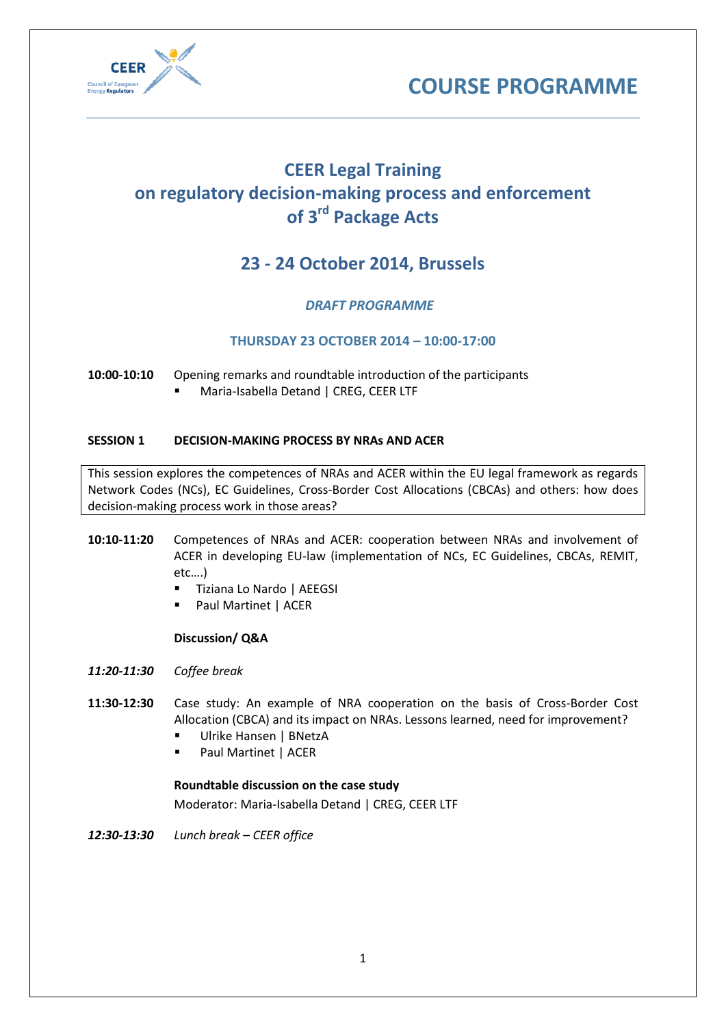



# **CEER Legal Training on regulatory decision-making process and enforcement of 3rd Package Acts**

# **23 - 24 October 2014, Brussels**

# *DRAFT PROGRAMME*

## **THURSDAY 23 OCTOBER 2014 – 10:00-17:00**

#### **10:00-10:10** Opening remarks and roundtable introduction of the participants

**Maria-Isabella Detand | CREG, CEER LTF** 

#### **SESSION 1 DECISION-MAKING PROCESS BY NRAs AND ACER**

This session explores the competences of NRAs and ACER within the EU legal framework as regards Network Codes (NCs), EC Guidelines, Cross-Border Cost Allocations (CBCAs) and others: how does decision-making process work in those areas?

## **10:10-11:20** Competences of NRAs and ACER: cooperation between NRAs and involvement of ACER in developing EU-law (implementation of NCs, EC Guidelines, CBCAs, REMIT, etc….)

- Tiziana Lo Nardo | AEEGSI
- Paul Martinet | ACER

#### **Discussion/ Q&A**

- *11:20-11:30 Coffee break*
- **11:30-12:30** Case study: An example of NRA cooperation on the basis of Cross-Border Cost Allocation (CBCA) and its impact on NRAs. Lessons learned, need for improvement?
	- Ulrike Hansen | BNetzA
	- Paul Martinet | ACER

#### **Roundtable discussion on the case study**

Moderator: Maria-Isabella Detand | CREG, CEER LTF

*12:30-13:30 Lunch break – CEER office*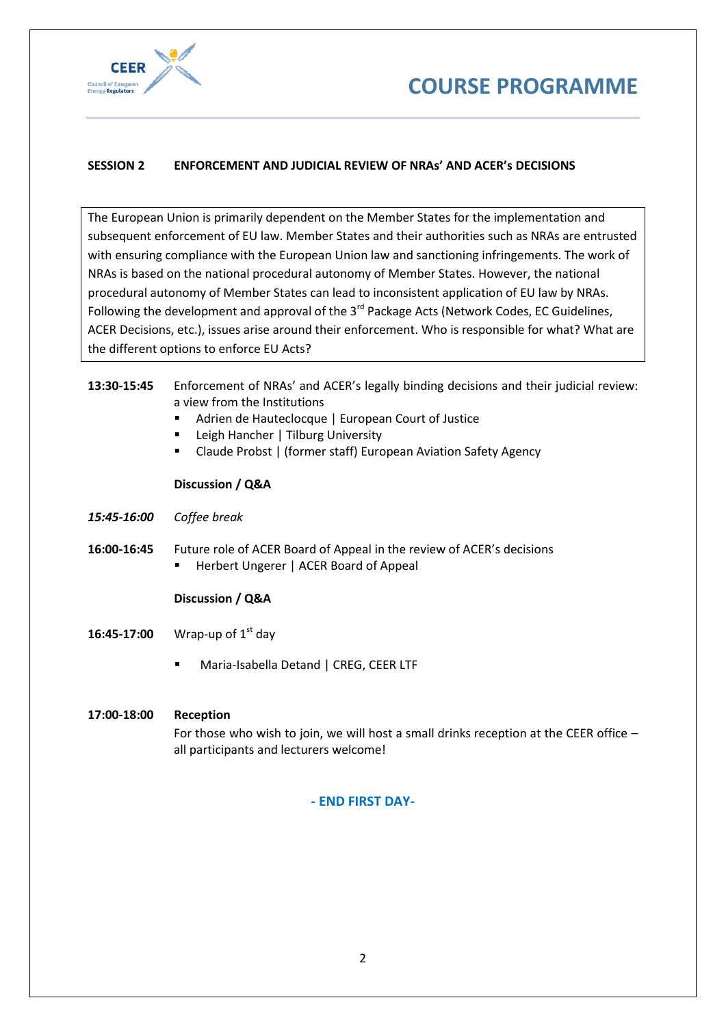



### **SESSION 2 ENFORCEMENT AND JUDICIAL REVIEW OF NRAs' AND ACER's DECISIONS**

The European Union is primarily dependent on the Member States for the implementation and subsequent enforcement of EU law. Member States and their authorities such as NRAs are entrusted with ensuring compliance with the European Union law and sanctioning infringements. The work of NRAs is based on the national procedural autonomy of Member States. However, the national procedural autonomy of Member States can lead to inconsistent application of EU law by NRAs. Following the development and approval of the 3<sup>rd</sup> Package Acts (Network Codes, EC Guidelines, ACER Decisions, etc.), issues arise around their enforcement. Who is responsible for what? What are the different options to enforce EU Acts?

#### **13:30-15:45** Enforcement of NRAs' and ACER's legally binding decisions and their judicial review: a view from the Institutions

- Adrien de Hauteclocque | European Court of Justice
- Leigh Hancher | Tilburg University
- Claude Probst | (former staff) European Aviation Safety Agency

#### **Discussion / Q&A**

- *15:45-16:00 Coffee break*
- **16:00-16:45** Future role of ACER Board of Appeal in the review of ACER's decisions **Herbert Ungerer | ACER Board of Appeal**

#### **Discussion / Q&A**

- **16:45-17:00** Wrap-up of 1<sup>st</sup> day
	- **Maria-Isabella Detand | CREG, CEER LTF**

#### **17:00-18:00 Reception**

For those who wish to join, we will host a small drinks reception at the CEER office – all participants and lecturers welcome!

#### **- END FIRST DAY-**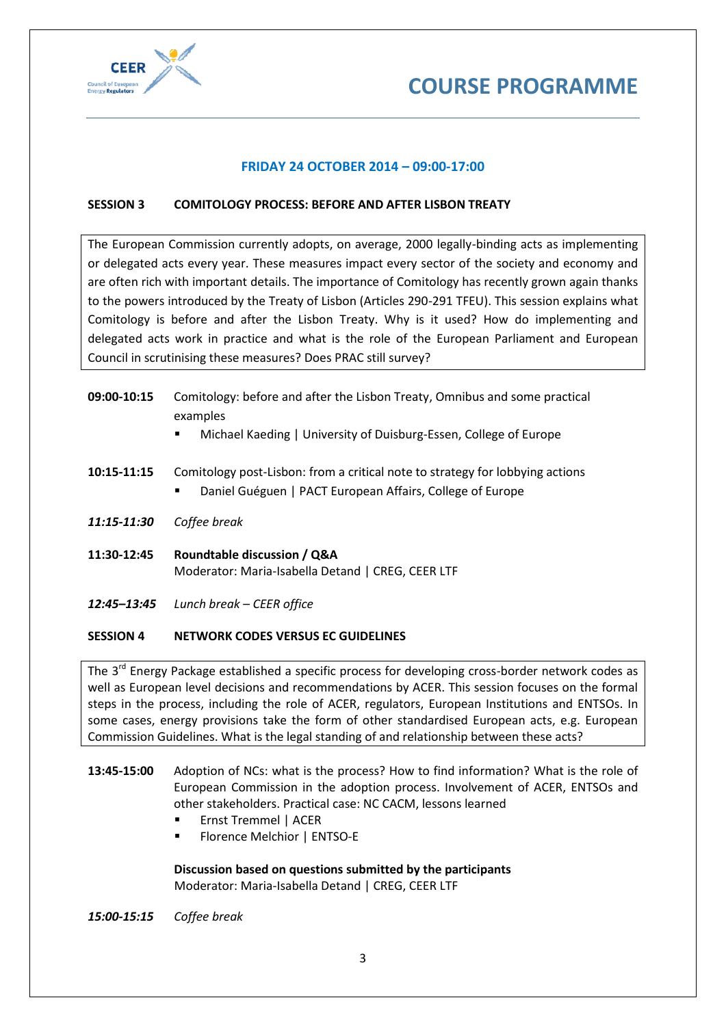



#### **FRIDAY 24 OCTOBER 2014 – 09:00-17:00**

#### **SESSION 3 COMITOLOGY PROCESS: BEFORE AND AFTER LISBON TREATY**

The European Commission currently adopts, on average, 2000 legally-binding acts as implementing or delegated acts every year. These measures impact every sector of the society and economy and are often rich with important details. The importance of Comitology has recently grown again thanks to the powers introduced by the Treaty of Lisbon (Articles 290-291 TFEU). This session explains what Comitology is before and after the Lisbon Treaty. Why is it used? How do implementing and delegated acts work in practice and what is the role of the European Parliament and European Council in scrutinising these measures? Does PRAC still survey?

| 09:00-10:15 | Comitology: before and after the Lisbon Treaty, Omnibus and some practical<br>examples<br>Michael Kaeding   University of Duisburg-Essen, College of Europe<br>٠ |
|-------------|------------------------------------------------------------------------------------------------------------------------------------------------------------------|
| 10:15-11:15 | Comitology post-Lisbon: from a critical note to strategy for lobbying actions<br>Daniel Guéguen   PACT European Affairs, College of Europe                       |
| 11:15-11:30 | Coffee break                                                                                                                                                     |
| 11:30-12:45 | Roundtable discussion / Q&A<br>Moderator: Maria-Isabella Detand   CREG, CEER LTF                                                                                 |
| 12:45–13:45 | Lunch break – CEER office                                                                                                                                        |

#### **SESSION 4 NETWORK CODES VERSUS EC GUIDELINES**

The 3<sup>rd</sup> Energy Package established a specific process for developing cross-border network codes as well as European level decisions and recommendations by ACER. This session focuses on the formal steps in the process, including the role of ACER, regulators, European Institutions and ENTSOs. In some cases, energy provisions take the form of other standardised European acts, e.g. European Commission Guidelines. What is the legal standing of and relationship between these acts?

- **13:45-15:00** Adoption of NCs: what is the process? How to find information? What is the role of European Commission in the adoption process. Involvement of ACER, ENTSOs and other stakeholders. Practical case: NC CACM, lessons learned
	- Ernst Tremmel | ACER
	- Florence Melchior | ENTSO-E

**Discussion based on questions submitted by the participants** Moderator: Maria-Isabella Detand | CREG, CEER LTF

*15:00-15:15 Coffee break*